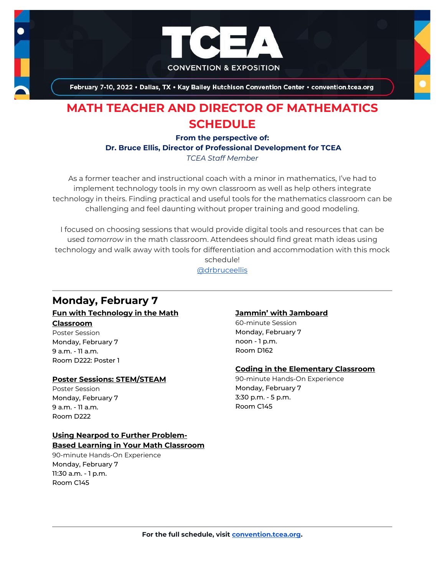

February 7-10, 2022 . Dallas, TX . Kay Bailey Hutchison Convention Center . convention.tcea.org

# **MATH TEACHER AND DIRECTOR OF MATHEMATICS SCHEDULE**

**From the perspective of:**

**Dr. Bruce Ellis, Director of Professional Development for TCEA**

*TCEA Staff Member*

As a former teacher and instructional coach with a minor in mathematics, I've had to implement technology tools in my own classroom as well as help others integrate technology in theirs. Finding practical and useful tools for the mathematics classroom can be challenging and feel daunting without proper training and good modeling.

I focused on choosing sessions that would provide digital tools and resources that can be used *tomorrow* in the math classroom. Attendees should find great math ideas using technology and walk away with tools for differentiation and accommodation with this mock schedule!

[@drbruceellis](https://twitter.com/drbruceellis)

# **Monday, February 7**

#### **[Fun with Technology in the Math](https://register.tcea.org/2022/session_list.cfm?session_key=02382410-F04D-A206-2B64-28CEDA7F90C5&session_date=Monday,%20Feb%2007,%202022)  [Classroom](https://register.tcea.org/2022/session_list.cfm?session_key=02382410-F04D-A206-2B64-28CEDA7F90C5&session_date=Monday,%20Feb%2007,%202022)**

Poster Session Monday, February 7 9 a.m. - 11 a.m. Room D222: Poster 1

#### **[Poster Sessions: STEM/STEAM](https://register.tcea.org/2022/session_list.cfm?session_key=2F7841CF-F04D-A206-2B64-B777958FB560&session_date=Monday,%20Feb%2007,%202022)**

Poster Session Monday, February 7 9 a.m. - 11 a.m. Room D222

#### **[Using Nearpod to Further Problem-](https://register.tcea.org/2022/session_list.cfm?session_key=0244D961-F04D-A206-2B64-2B63BC792E94&session_date=Monday,%20Feb%2007,%202022)[Based Learning in Your Math Classroom](https://register.tcea.org/2022/session_list.cfm?session_key=0244D961-F04D-A206-2B64-2B63BC792E94&session_date=Monday,%20Feb%2007,%202022)**

90-minute Hands-On Experience Monday, February 7 11:30 a.m. - 1 p.m. Room C145

#### **[Jammin' with Jamboard](https://register.tcea.org/2022/session_list.cfm?session_key=023BE406-F04D-A206-2B64-9A6E94F31C9D&session_date=Monday,%20Feb%2007,%202022)**

60-minute Session Monday, February 7 noon - 1 p.m. Room D162

#### **[Coding in the Elementary Classroom](https://register.tcea.org/2022/session_list.cfm?session_key=0233905A-F04D-A206-2B64-6C6B981EB529&session_date=Monday,%20Feb%2007,%202022)**

90-minute Hands-On Experience Monday, February 7 3:30 p.m. - 5 p.m. Room C145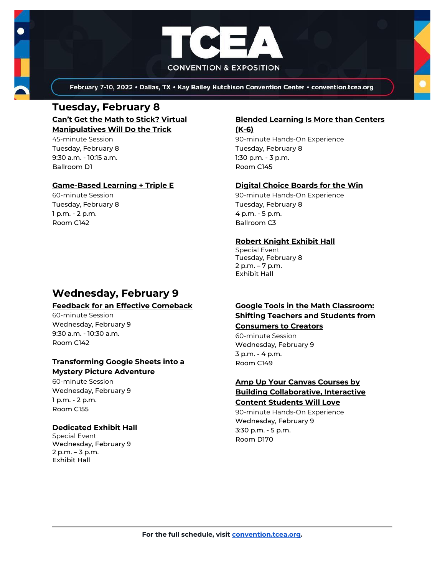

February 7-10, 2022 . Dallas, TX . Kay Bailey Hutchison Convention Center . convention.tcea.org

### **Tuesday, February 8**

**[Can't Get the Math to Stick? Virtual](https://register.tcea.org/2022/session_list.cfm?session_key=0232E24F-F04D-A206-2B64-354980D11AF8&session_date=Tuesday,%20Feb%2008,%202022)  [Manipulatives Will Do](https://register.tcea.org/2022/session_list.cfm?session_key=0232E24F-F04D-A206-2B64-354980D11AF8&session_date=Tuesday,%20Feb%2008,%202022) the Trick**

45-minute Session Tuesday, February 8 9:30 a.m. - 10:15 a.m. Ballroom D1

#### **[Game-Based Learning + Triple E](https://register.tcea.org/2022/session_list.cfm?session_key=02386105-F04D-A206-2B64-A51B35C34A6E&session_date=Tuesday,%20Feb%2008,%202022)**

60-minute Session Tuesday, February 8 1 p.m. - 2 p.m. Room C142

# **Wednesday, February 9**

#### **[Feedback for an Effective Comeback](https://register.tcea.org/2022/session_list.cfm?session_key=0237997E-F04D-A206-2B64-422BE7ECA8D7&session_date=Wednesday,%20Feb%2009,%202022)**

60-minute Session Wednesday, February 9 9:30 a.m. - 10:30 a.m. Room C142

#### **[Transforming Google Sheets into a](https://register.tcea.org/2022/session_list.cfm?session_key=02438C04-F04D-A206-2B64-BE1E082240D8&session_date=Wednesday,%20Feb%2009,%202022)  [Mystery Picture Adventure](https://register.tcea.org/2022/session_list.cfm?session_key=02438C04-F04D-A206-2B64-BE1E082240D8&session_date=Wednesday,%20Feb%2009,%202022)**

60-minute Session Wednesday, February 9 1 p.m. - 2 p.m. Room C155

#### **[Dedicated Exhibit Hall](https://register.tcea.org/2022/session_list.cfm?session_key=61CDD8E6-F04D-A206-2B64-74AAAD8173D7&session_date=Wednesday,%20Feb%2009,%202022)**

Special Event Wednesday, February 9 2 p.m. – 3 p.m. Exhibit Hall

### **[Blended Learning Is More than Centers](https://register.tcea.org/2022/session_list.cfm?session_key=0231E9D8-F04D-A206-2B64-362F7C311B4A&session_date=Tuesday,%20Feb%2008,%202022)**

**[\(K-6\)](https://register.tcea.org/2022/session_list.cfm?session_key=0231E9D8-F04D-A206-2B64-362F7C311B4A&session_date=Tuesday,%20Feb%2008,%202022)** 90-minute Hands-On Experience Tuesday, February 8 1:30 p.m. - 3 p.m. Room C145

#### **[Digital Choice Boards for the Win](https://register.tcea.org/2022/session_list.cfm?session_key=0235F4F5-F04D-A206-2B64-92FB0240DEF6&session_date=Tuesday,%20Feb%2008,%202022)**

90-minute Hands-On Experience Tuesday, February 8 4 p.m. - 5 p.m. Ballroom C3

#### **[Robert Knight Exhibit Hall](https://register.tcea.org/2022/session_list.cfm?session_key=61CDF249-F04D-A206-2B64-15D6559D2515&session_date=Tuesday,%20Feb%2008,%202022)**

Special Event Tuesday, February 8 2 p.m. – 7 p.m. Exhibit Hall

#### **[Google Tools in the Math Classroom:](https://register.tcea.org/2022/session_list.cfm?session_key=02394705-F04D-A206-2B64-2B94ADCDC2EE&session_date=Wednesday,%20Feb%2009,%202022)  [Shifting Teachers and Students from](https://register.tcea.org/2022/session_list.cfm?session_key=02394705-F04D-A206-2B64-2B94ADCDC2EE&session_date=Wednesday,%20Feb%2009,%202022)**

#### **[Consumers to Creators](https://register.tcea.org/2022/session_list.cfm?session_key=02394705-F04D-A206-2B64-2B94ADCDC2EE&session_date=Wednesday,%20Feb%2009,%202022)**

60-minute Session Wednesday, February 9 3 p.m. - 4 p.m. Room C149

#### **[Amp Up Your Canvas Courses by](https://register.tcea.org/2022/session_list.cfm?session_key=023089EE-F04D-A206-2B64-4F81AA0D3702&session_date=Wednesday,%20Feb%2009,%202022)  [Building Collaborative, Interactive](https://register.tcea.org/2022/session_list.cfm?session_key=023089EE-F04D-A206-2B64-4F81AA0D3702&session_date=Wednesday,%20Feb%2009,%202022)**

**[Content Students Will Love](https://register.tcea.org/2022/session_list.cfm?session_key=023089EE-F04D-A206-2B64-4F81AA0D3702&session_date=Wednesday,%20Feb%2009,%202022)**

90-minute Hands-On Experience Wednesday, February 9 3:30 p.m. - 5 p.m. Room D170